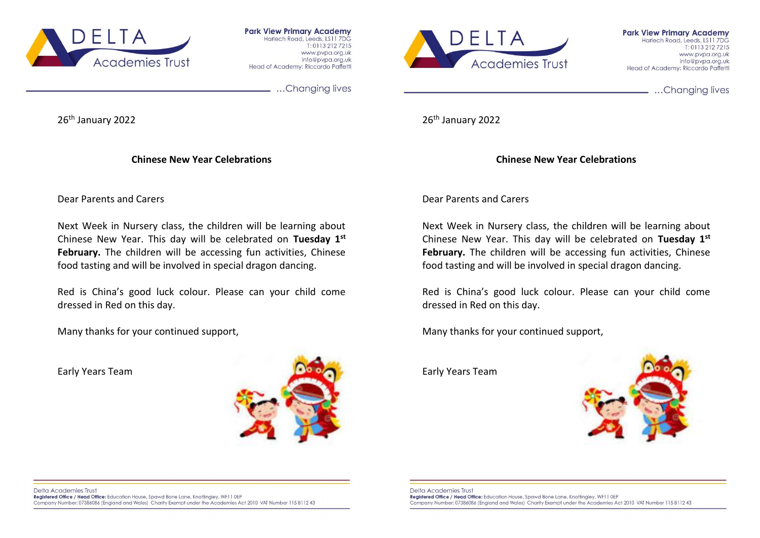

**Park View Primary Academy** Harlech Road, Leeds, LS11 7DG T: 0113 212 7215 www.pvpa.org.uk info@pypg.org.uk Head of Academy: Riccardo Paffetti

...Changing lives

26<sup>th</sup> January 2022

**Chinese New Year Celebrations**

Academies Trust

**Park View Primary Academy** Harlech Road, Leeds, LS11 7DG  $T: 01132127215$ www.pvpg.org.uk info@pypg.org.uk Head of Academy: Riccardo Paffetti

...Changing lives

26th January 2022

**Chinese New Year Celebrations**

Dear Parents and Carers

Next Week in Nursery class, the children will be learning about Chinese New Year. This day will be celebrated on **Tuesday 1st February.** The children will be accessing fun activities, Chinese food tasting and will be involved in special dragon dancing.

Red is China's good luck colour. Please can your child come dressed in Red on this day.

Many thanks for your continued support,

Early Years Team



Dear Parents and Carers

Next Week in Nursery class, the children will be learning about Chinese New Year. This day will be celebrated on **Tuesday 1st February.** The children will be accessing fun activities, Chinese food tasting and will be involved in special dragon dancing.

Red is China's good luck colour. Please can your child come dressed in Red on this day.

Many thanks for your continued support,

Early Years Team



Delta Academies Trust Registered Office / Head Office: Education House, Spawd Bone Lane, Knottingley, WF11 0EP Company Number: 07386086 (England and Wales) Charity Exempt under the Academies Act 2010 VAT Number 115 8112 43

**Delta Academies Trust** Registered Office / Head Office: Education House, Spawd Bone Lane, Knottingley, WF11 0EP Company Number: 07386086 (England and Wales) Charity Exempt under the Academies Act 2010 VAT Number 115 8112 43